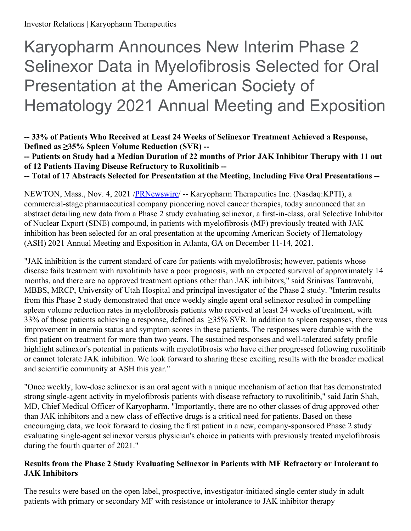# Karyopharm Announces New Interim Phase 2 Selinexor Data in Myelofibrosis Selected for Oral Presentation at the American Society of Hematology 2021 Annual Meeting and Exposition

**-- 33% of Patients Who Received at Least 24 Weeks of Selinexor Treatment Achieved a Response, Defined as ≥35% Spleen Volume Reduction (SVR) --**

-- Patients on Study had a Median Duration of 22 months of Prior JAK Inhibitor Therapy with 11 out **of 12 Patients Having Disease Refractory to Ruxolitinib --**

**-- Total of 17 Abstracts Selected for Presentation at the Meeting, Including Five Oral Presentations --**

NEWTON, Mass., Nov. 4, 2021 [/PRNewswire](http://www.prnewswire.com/)/ -- Karyopharm Therapeutics Inc. (Nasdaq:KPTI), a commercial-stage pharmaceutical company pioneering novel cancer therapies, today announced that an abstract detailing new data from a Phase 2 study evaluating selinexor, a first-in-class, oral Selective Inhibitor of Nuclear Export (SINE) compound, in patients with myelofibrosis (MF) previously treated with JAK inhibition has been selected for an oral presentation at the upcoming American Society of Hematology (ASH) 2021 Annual Meeting and Exposition in Atlanta, GA on December 11-14, 2021.

"JAK inhibition is the current standard of care for patients with myelofibrosis; however, patients whose disease fails treatment with ruxolitinib have a poor prognosis, with an expected survival of approximately 14 months, and there are no approved treatment options other than JAK inhibitors," said Srinivas Tantravahi, MBBS, MRCP, University of Utah Hospital and principal investigator of the Phase 2 study. "Interim results from this Phase 2 study demonstrated that once weekly single agent oral selinexor resulted in compelling spleen volume reduction rates in myelofibrosis patients who received at least 24 weeks of treatment, with 33% of those patients achieving a response, defined as ≥35% SVR. In addition to spleen responses, there was improvement in anemia status and symptom scores in these patients. The responses were durable with the first patient on treatment for more than two years. The sustained responses and well-tolerated safety profile highlight selinexor's potential in patients with myelofibrosis who have either progressed following ruxolitinib or cannot tolerate JAK inhibition. We look forward to sharing these exciting results with the broader medical and scientific community at ASH this year."

"Once weekly, low-dose selinexor is an oral agent with a unique mechanism of action that has demonstrated strong single-agent activity in myelofibrosis patients with disease refractory to ruxolitinib," said Jatin Shah, MD, Chief Medical Officer of Karyopharm. "Importantly, there are no other classes of drug approved other than JAK inhibitors and a new class of effective drugs is a critical need for patients. Based on these encouraging data, we look forward to dosing the first patient in a new, company-sponsored Phase 2 study evaluating single-agent selinexor versus physician's choice in patients with previously treated myelofibrosis during the fourth quarter of 2021."

# **Results from the Phase 2 Study Evaluating Selinexor in Patients with MF Refractory or Intolerant to JAK Inhibitors**

The results were based on the open label, prospective, investigator-initiated single center study in adult patients with primary or secondary MF with resistance or intolerance to JAK inhibitor therapy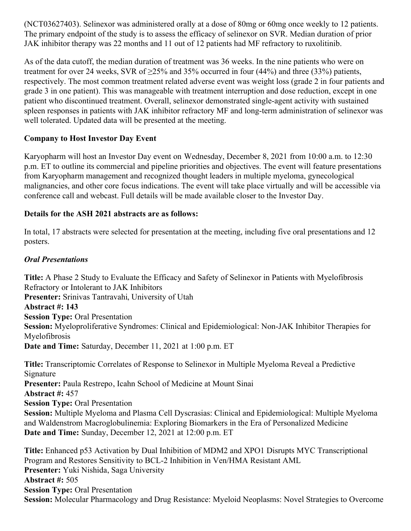(NCT03627403). Selinexor was administered orally at a dose of 80mg or 60mg once weekly to 12 patients. The primary endpoint of the study is to assess the efficacy of selinexor on SVR. Median duration of prior JAK inhibitor therapy was 22 months and 11 out of 12 patients had MF refractory to ruxolitinib.

As of the data cutoff, the median duration of treatment was 36 weeks. In the nine patients who were on treatment for over 24 weeks, SVR of ≥25% and 35% occurred in four (44%) and three (33%) patients, respectively. The most common treatment related adverse event was weight loss (grade 2 in four patients and grade 3 in one patient). This was manageable with treatment interruption and dose reduction, except in one patient who discontinued treatment. Overall, selinexor demonstrated single-agent activity with sustained spleen responses in patients with JAK inhibitor refractory MF and long-term administration of selinexor was well tolerated. Updated data will be presented at the meeting.

## **Company to Host Investor Day Event**

Karyopharm will host an Investor Day event on Wednesday, December 8, 2021 from 10:00 a.m. to 12:30 p.m. ET to outline its commercial and pipeline priorities and objectives. The event will feature presentations from Karyopharm management and recognized thought leaders in multiple myeloma, gynecological malignancies, and other core focus indications. The event will take place virtually and will be accessible via conference call and webcast. Full details will be made available closer to the Investor Day.

## **Details for the ASH 2021 abstracts are as follows:**

In total, 17 abstracts were selected for presentation at the meeting, including five oral presentations and 12 posters.

## *Oral Presentations*

**Title:** A Phase 2 Study to Evaluate the Efficacy and Safety of Selinexor in Patients with Myelofibrosis Refractory or Intolerant to JAK Inhibitors **Presenter:** Srinivas Tantravahi, University of Utah **Abstract #: 143 Session Type:** Oral Presentation **Session:** Myeloproliferative Syndromes: Clinical and Epidemiological: Non-JAK Inhibitor Therapies for Myelofibrosis **Date and Time:** Saturday, December 11, 2021 at 1:00 p.m. ET **Title:** Transcriptomic Correlates of Response to Selinexor in Multiple Myeloma Reveal a Predictive Signature **Presenter:** Paula Restrepo, Icahn School of Medicine at Mount Sinai **Abstract #:** 457

**Session Type:** Oral Presentation

**Session:** Multiple Myeloma and Plasma Cell Dyscrasias: Clinical and Epidemiological: Multiple Myeloma and Waldenstrom Macroglobulinemia: Exploring Biomarkers in the Era of Personalized Medicine **Date and Time:** Sunday, December 12, 2021 at 12:00 p.m. ET

**Title:** Enhanced p53 Activation by Dual Inhibition of MDM2 and XPO1 Disrupts MYC Transcriptional Program and Restores Sensitivity to BCL-2 Inhibition in Ven/HMA Resistant AML **Presenter:** Yuki Nishida, Saga University **Abstract #:** 505 **Session Type:** Oral Presentation **Session:** Molecular Pharmacology and Drug Resistance: Myeloid Neoplasms: Novel Strategies to Overcome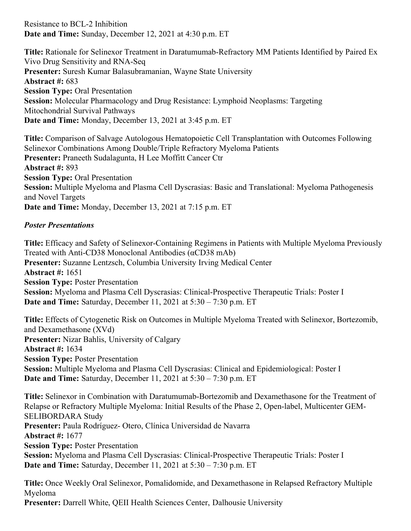Resistance to BCL-2 Inhibition **Date and Time:** Sunday, December 12, 2021 at 4:30 p.m. ET

**Title:** Rationale for Selinexor Treatment in Daratumumab-Refractory MM Patients Identified by Paired Ex Vivo Drug Sensitivity and RNA-Seq **Presenter:** Suresh Kumar Balasubramanian, Wayne State University **Abstract #:** 683 **Session Type:** Oral Presentation **Session:** Molecular Pharmacology and Drug Resistance: Lymphoid Neoplasms: Targeting Mitochondrial Survival Pathways **Date and Time:** Monday, December 13, 2021 at 3:45 p.m. ET

**Title:** Comparison of Salvage Autologous Hematopoietic Cell Transplantation with Outcomes Following Selinexor Combinations Among Double/Triple Refractory Myeloma Patients **Presenter:** Praneeth Sudalagunta, H Lee Moffitt Cancer Ctr **Abstract #:** 893 **Session Type:** Oral Presentation **Session:** Multiple Myeloma and Plasma Cell Dyscrasias: Basic and Translational: Myeloma Pathogenesis and Novel Targets **Date and Time:** Monday, December 13, 2021 at 7:15 p.m. ET

#### *Poster Presentations*

**Title:** Efficacy and Safety of Selinexor-Containing Regimens in Patients with Multiple Myeloma Previously Treated with Anti-CD38 Monoclonal Antibodies (αCD38 mAb) **Presenter:** Suzanne Lentzsch, Columbia University Irving Medical Center **Abstract #:** 1651 **Session Type:** Poster Presentation **Session:** Myeloma and Plasma Cell Dyscrasias: Clinical-Prospective Therapeutic Trials: Poster I **Date and Time:** Saturday, December 11, 2021 at 5:30 – 7:30 p.m. ET

**Title:** Effects of Cytogenetic Risk on Outcomes in Multiple Myeloma Treated with Selinexor, Bortezomib, and Dexamethasone (XVd) **Presenter:** Nizar Bahlis, University of Calgary **Abstract #:** 1634 **Session Type:** Poster Presentation **Session:** Multiple Myeloma and Plasma Cell Dyscrasias: Clinical and Epidemiological: Poster I **Date and Time:** Saturday, December 11, 2021 at 5:30 – 7:30 p.m. ET

**Title:** Selinexor in Combination with Daratumumab-Bortezomib and Dexamethasone for the Treatment of Relapse or Refractory Multiple Myeloma: Initial Results of the Phase 2, Open-label, Multicenter GEM-SELIBORDARA Study **Presenter:** Paula Rodríguez- Otero, Clínica Universidad de Navarra **Abstract #:** 1677 **Session Type:** Poster Presentation **Session:** Myeloma and Plasma Cell Dyscrasias: Clinical-Prospective Therapeutic Trials: Poster I **Date and Time:** Saturday, December 11, 2021 at 5:30 – 7:30 p.m. ET

**Title:** Once Weekly Oral Selinexor, Pomalidomide, and Dexamethasone in Relapsed Refractory Multiple Myeloma

**Presenter:** Darrell White, QEII Health Sciences Center, Dalhousie University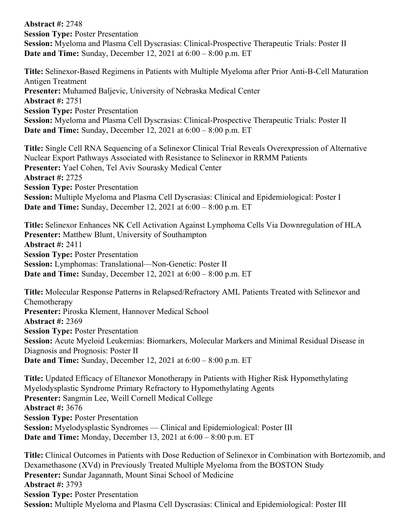**Abstract #:** 2748 **Session Type:** Poster Presentation **Session:** Myeloma and Plasma Cell Dyscrasias: Clinical-Prospective Therapeutic Trials: Poster II **Date and Time:** Sunday, December 12, 2021 at 6:00 – 8:00 p.m. ET

**Title:** Selinexor-Based Regimens in Patients with Multiple Myeloma after Prior Anti-B-Cell Maturation Antigen Treatment **Presenter:** Muhamed Baljevic, University of Nebraska Medical Center **Abstract #:** 2751 **Session Type:** Poster Presentation **Session:** Myeloma and Plasma Cell Dyscrasias: Clinical-Prospective Therapeutic Trials: Poster II **Date and Time:** Sunday, December 12, 2021 at 6:00 – 8:00 p.m. ET

**Title:** Single Cell RNA Sequencing of a Selinexor Clinical Trial Reveals Overexpression of Alternative Nuclear Export Pathways Associated with Resistance to Selinexor in RRMM Patients **Presenter:** Yael Cohen, Tel Aviv Sourasky Medical Center **Abstract #:** 2725 **Session Type:** Poster Presentation **Session:** Multiple Myeloma and Plasma Cell Dyscrasias: Clinical and Epidemiological: Poster I **Date and Time:** Sunday, December 12, 2021 at 6:00 – 8:00 p.m. ET

**Title:** Selinexor Enhances NK Cell Activation Against Lymphoma Cells Via Downregulation of HLA **Presenter:** Matthew Blunt, University of Southampton **Abstract #:** 2411 **Session Type:** Poster Presentation **Session:** Lymphomas: Translational—Non-Genetic: Poster II **Date and Time:** Sunday, December 12, 2021 at 6:00 – 8:00 p.m. ET

**Title:** Molecular Response Patterns in Relapsed/Refractory AML Patients Treated with Selinexor and Chemotherapy **Presenter:** Piroska Klement, Hannover Medical School **Abstract #:** 2369 **Session Type:** Poster Presentation **Session:** Acute Myeloid Leukemias: Biomarkers, Molecular Markers and Minimal Residual Disease in Diagnosis and Prognosis: Poster II **Date and Time:** Sunday, December 12, 2021 at 6:00 – 8:00 p.m. ET

**Title:** Updated Efficacy of Eltanexor Monotherapy in Patients with Higher Risk Hypomethylating Myelodysplastic Syndrome Primary Refractory to Hypomethylating Agents **Presenter:** Sangmin Lee, Weill Cornell Medical College **Abstract #:** 3676 **Session Type:** Poster Presentation **Session:** Myelodysplastic Syndromes — Clinical and Epidemiological: Poster III **Date and Time:** Monday, December 13, 2021 at 6:00 – 8:00 p.m. ET

**Title:** Clinical Outcomes in Patients with Dose Reduction of Selinexor in Combination with Bortezomib, and Dexamethasone (XVd) in Previously Treated Multiple Myeloma from the BOSTON Study **Presenter:** Sundar Jagannath, Mount Sinai School of Medicine **Abstract #:** 3793 **Session Type:** Poster Presentation **Session:** Multiple Myeloma and Plasma Cell Dyscrasias: Clinical and Epidemiological: Poster III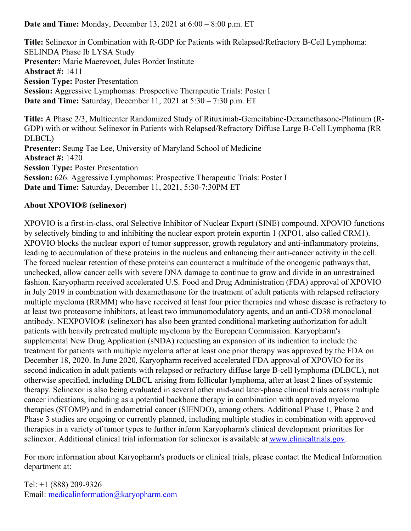**Date and Time:** Monday, December 13, 2021 at 6:00 – 8:00 p.m. ET

**Title:** Selinexor in Combination with R-GDP for Patients with Relapsed/Refractory B-Cell Lymphoma: SELINDA Phase Ib LYSA Study **Presenter:** Marie Maerevoet, Jules Bordet Institute **Abstract #:** 1411 **Session Type:** Poster Presentation **Session:** Aggressive Lymphomas: Prospective Therapeutic Trials: Poster I **Date and Time:** Saturday, December 11, 2021 at 5:30 – 7:30 p.m. ET

**Title:** A Phase 2/3, Multicenter Randomized Study of Rituximab-Gemcitabine-Dexamethasone-Platinum (R-GDP) with or without Selinexor in Patients with Relapsed/Refractory Diffuse Large B-Cell Lymphoma (RR DLBCL) **Presenter:** Seung Tae Lee, University of Maryland School of Medicine **Abstract #:** 1420 **Session Type:** Poster Presentation **Session:** 626. Aggressive Lymphomas: Prospective Therapeutic Trials: Poster I **Date and Time:** Saturday, December 11, 2021, 5:30-7:30PM ET

#### **About XPOVIO® (selinexor)**

XPOVIO is a first-in-class, oral Selective Inhibitor of Nuclear Export (SINE) compound. XPOVIO functions by selectively binding to and inhibiting the nuclear export protein exportin 1 (XPO1, also called CRM1). XPOVIO blocks the nuclear export of tumor suppressor, growth regulatory and anti-inflammatory proteins, leading to accumulation of these proteins in the nucleus and enhancing their anti-cancer activity in the cell. The forced nuclear retention of these proteins can counteract a multitude of the oncogenic pathways that, unchecked, allow cancer cells with severe DNA damage to continue to grow and divide in an unrestrained fashion. Karyopharm received accelerated U.S. Food and Drug Administration (FDA) approval of XPOVIO in July 2019 in combination with dexamethasone for the treatment of adult patients with relapsed refractory multiple myeloma (RRMM) who have received at least four prior therapies and whose disease is refractory to at least two proteasome inhibitors, at least two immunomodulatory agents, and an anti-CD38 monoclonal antibody. NEXPOVIO® (selinexor) has also been granted conditional marketing authorization for adult patients with heavily pretreated multiple myeloma by the European Commission. Karyopharm's supplemental New Drug Application (sNDA) requesting an expansion of its indication to include the treatment for patients with multiple myeloma after at least one prior therapy was approved by the FDA on December 18, 2020. In June 2020, Karyopharm received accelerated FDA approval of XPOVIO for its second indication in adult patients with relapsed or refractory diffuse large B-cell lymphoma (DLBCL), not otherwise specified, including DLBCL arising from follicular lymphoma, after at least 2 lines of systemic therapy. Selinexor is also being evaluated in several other mid-and later-phase clinical trials across multiple cancer indications, including as a potential backbone therapy in combination with approved myeloma therapies (STOMP) and in endometrial cancer (SIENDO), among others. Additional Phase 1, Phase 2 and Phase 3 studies are ongoing or currently planned, including multiple studies in combination with approved therapies in a variety of tumor types to further inform Karyopharm's clinical development priorities for selinexor. Additional clinical trial information for selinexor is available at [www.clinicaltrials.gov](http://www.clinicaltrials.gov).

For more information about Karyopharm's products or clinical trials, please contact the Medical Information department at:

Tel: +1 (888) 209-9326 Email: [medicalinformation@karyopharm.com](mailto:medicalinformation@karyopharm.com)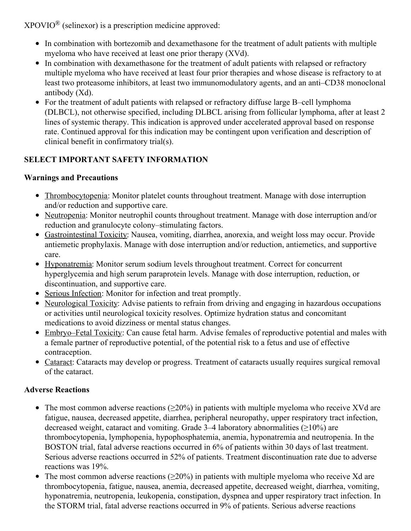$XPOVIO^{\circledR}$  (selinexor) is a prescription medicine approved:

- In combination with bortezomib and dexamethasone for the treatment of adult patients with multiple myeloma who have received at least one prior therapy (XVd).
- In combination with dexamethasone for the treatment of adult patients with relapsed or refractory multiple myeloma who have received at least four prior therapies and whose disease is refractory to at least two proteasome inhibitors, at least two immunomodulatory agents, and an anti–CD38 monoclonal antibody (Xd).
- For the treatment of adult patients with relapsed or refractory diffuse large B–cell lymphoma (DLBCL), not otherwise specified, including DLBCL arising from follicular lymphoma, after at least 2 lines of systemic therapy. This indication is approved under accelerated approval based on response rate. Continued approval for this indication may be contingent upon verification and description of clinical benefit in confirmatory trial(s).

# **SELECT IMPORTANT SAFETY INFORMATION**

# **Warnings and Precautions**

- Thrombocytopenia: Monitor platelet counts throughout treatment. Manage with dose interruption and/or reduction and supportive care.
- Neutropenia: Monitor neutrophil counts throughout treatment. Manage with dose interruption and/or reduction and granulocyte colony–stimulating factors.
- Gastrointestinal Toxicity: Nausea, vomiting, diarrhea, anorexia, and weight loss may occur. Provide antiemetic prophylaxis. Manage with dose interruption and/or reduction, antiemetics, and supportive care.
- Hyponatremia: Monitor serum sodium levels throughout treatment. Correct for concurrent hyperglycemia and high serum paraprotein levels. Manage with dose interruption, reduction, or discontinuation, and supportive care.
- Serious Infection: Monitor for infection and treat promptly.
- Neurological Toxicity: Advise patients to refrain from driving and engaging in hazardous occupations or activities until neurological toxicity resolves. Optimize hydration status and concomitant medications to avoid dizziness or mental status changes.
- Embryo–Fetal Toxicity: Can cause fetal harm. Advise females of reproductive potential and males with a female partner of reproductive potential, of the potential risk to a fetus and use of effective contraception.
- Cataract: Cataracts may develop or progress. Treatment of cataracts usually requires surgical removal of the cataract.

# **Adverse Reactions**

- The most common adverse reactions ( $\geq 20\%$ ) in patients with multiple myeloma who receive XVd are fatigue, nausea, decreased appetite, diarrhea, peripheral neuropathy, upper respiratory tract infection, decreased weight, cataract and vomiting. Grade  $3-4$  laboratory abnormalities ( $\geq$ 10%) are thrombocytopenia, lymphopenia, hypophosphatemia, anemia, hyponatremia and neutropenia. In the BOSTON trial, fatal adverse reactions occurred in 6% of patients within 30 days of last treatment. Serious adverse reactions occurred in 52% of patients. Treatment discontinuation rate due to adverse reactions was 19%.
- The most common adverse reactions ( $\geq 20\%$ ) in patients with multiple myeloma who receive Xd are thrombocytopenia, fatigue, nausea, anemia, decreased appetite, decreased weight, diarrhea, vomiting, hyponatremia, neutropenia, leukopenia, constipation, dyspnea and upper respiratory tract infection. In the STORM trial, fatal adverse reactions occurred in 9% of patients. Serious adverse reactions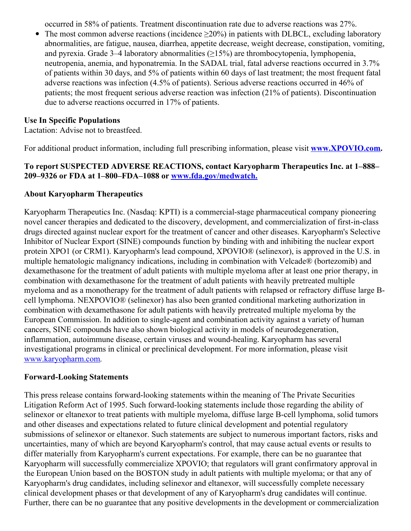occurred in 58% of patients. Treatment discontinuation rate due to adverse reactions was 27%.

The most common adverse reactions (incidence  $\geq 20\%$ ) in patients with DLBCL, excluding laboratory  $\bullet$ abnormalities, are fatigue, nausea, diarrhea, appetite decrease, weight decrease, constipation, vomiting, and pyrexia. Grade  $3-4$  laboratory abnormalities ( $\geq 15\%$ ) are thrombocytopenia, lymphopenia, neutropenia, anemia, and hyponatremia. In the SADAL trial, fatal adverse reactions occurred in 3.7% of patients within 30 days, and 5% of patients within 60 days of last treatment; the most frequent fatal adverse reactions was infection (4.5% of patients). Serious adverse reactions occurred in 46% of patients; the most frequent serious adverse reaction was infection (21% of patients). Discontinuation due to adverse reactions occurred in 17% of patients.

#### **Use In Specific Populations**

Lactation: Advise not to breastfeed.

For additional product information, including full prescribing information, please visit **[www.XPOVIO.com](https://c212.net/c/link/?t=0&l=en&o=3346957-1&h=3473004013&u=http%3A%2F%2Fwww.xpovio.com%2F&a=www.XPOVIO.com).**

### **To report SUSPECTED ADVERSE REACTIONS, contact Karyopharm Therapeutics Inc. at 1–888– 209–9326 or FDA at 1–800–FDA–1088 or [www.fda.gov/medwatch.](https://c212.net/c/link/?t=0&l=en&o=3346957-1&h=3841377662&u=http%3A%2F%2Fwww.fda.gov%2Fmedwatch&a=www.fda.gov%2Fmedwatch.)**

## **About Karyopharm Therapeutics**

Karyopharm Therapeutics Inc. (Nasdaq: KPTI) is a commercial-stage pharmaceutical company pioneering novel cancer therapies and dedicated to the discovery, development, and commercialization of first-in-class drugs directed against nuclear export for the treatment of cancer and other diseases. Karyopharm's Selective Inhibitor of Nuclear Export (SINE) compounds function by binding with and inhibiting the nuclear export protein XPO1 (or CRM1). Karyopharm's lead compound, XPOVIO® (selinexor), is approved in the U.S. in multiple hematologic malignancy indications, including in combination with Velcade® (bortezomib) and dexamethasone for the treatment of adult patients with multiple myeloma after at least one prior therapy, in combination with dexamethasone for the treatment of adult patients with heavily pretreated multiple myeloma and as a monotherapy for the treatment of adult patients with relapsed or refractory diffuse large Bcell lymphoma. NEXPOVIO® (selinexor) has also been granted conditional marketing authorization in combination with dexamethasone for adult patients with heavily pretreated multiple myeloma by the European Commission. In addition to single-agent and combination activity against a variety of human cancers, SINE compounds have also shown biological activity in models of neurodegeneration, inflammation, autoimmune disease, certain viruses and wound-healing. Karyopharm has several investigational programs in clinical or preclinical development. For more information, please visit [www.karyopharm.com](https://c212.net/c/link/?t=0&l=en&o=3346957-1&h=1164660769&u=http%3A%2F%2Fwww.karyopharm.com%2F&a=www.karyopharm.com).

#### **Forward-Looking Statements**

This press release contains forward-looking statements within the meaning of The Private Securities Litigation Reform Act of 1995. Such forward-looking statements include those regarding the ability of selinexor or eltanexor to treat patients with multiple myeloma, diffuse large B-cell lymphoma, solid tumors and other diseases and expectations related to future clinical development and potential regulatory submissions of selinexor or eltanexor. Such statements are subject to numerous important factors, risks and uncertainties, many of which are beyond Karyopharm's control, that may cause actual events or results to differ materially from Karyopharm's current expectations. For example, there can be no guarantee that Karyopharm will successfully commercialize XPOVIO; that regulators will grant confirmatory approval in the European Union based on the BOSTON study in adult patients with multiple myeloma; or that any of Karyopharm's drug candidates, including selinexor and eltanexor, will successfully complete necessary clinical development phases or that development of any of Karyopharm's drug candidates will continue. Further, there can be no guarantee that any positive developments in the development or commercialization